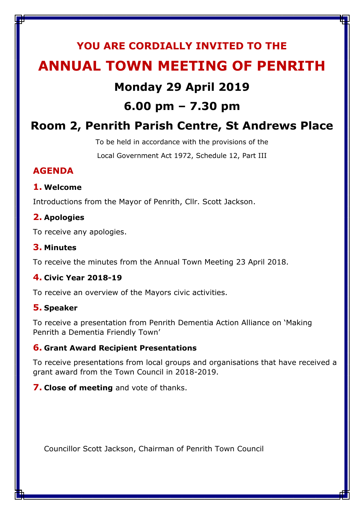# **YOU ARE CORDIALLY INVITED TO THE ANNUAL TOWN MEETING OF PENRITH Monday 29 April 2019 6.00 pm – 7.30 pm**

# **Room 2, Penrith Parish Centre, St Andrews Place**

To be held in accordance with the provisions of the

Local Government Act 1972, Schedule 12, Part III

### **AGENDA**

#### **1. Welcome**

Introductions from the Mayor of Penrith, Cllr. Scott Jackson.

### **2. Apologies**

To receive any apologies.

#### **3. Minutes**

To receive the minutes from the Annual Town Meeting 23 April 2018.

#### **4. Civic Year 2018-19**

To receive an overview of the Mayors civic activities.

#### **5. Speaker**

To receive a presentation from Penrith Dementia Action Alliance on 'Making Penrith a Dementia Friendly Town'

#### **6. Grant Award Recipient Presentations**

To receive presentations from local groups and organisations that have received a grant award from the Town Council in 2018-2019.

**7. Close of meeting** and vote of thanks.

Councillor Scott Jackson, Chairman of Penrith Town Council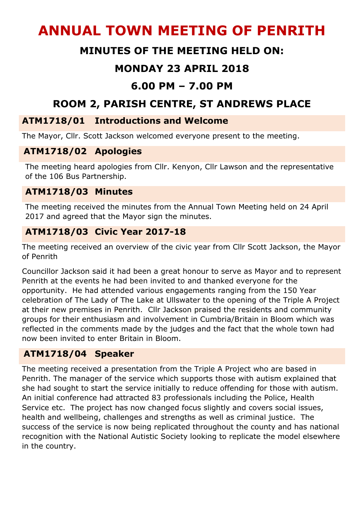# **ANNUAL TOWN MEETING OF PENRITH**

# **MINUTES OF THE MEETING HELD ON:**

# **MONDAY 23 APRIL 2018**

# **6.00 PM – 7.00 PM**

# **ROOM 2, PARISH CENTRE, ST ANDREWS PLACE**

### **ATM1718/01 Introductions and Welcome**

The Mayor, Cllr. Scott Jackson welcomed everyone present to the meeting.

### **ATM1718/02 Apologies**

The meeting heard apologies from Cllr. Kenyon, Cllr Lawson and the representative of the 106 Bus Partnership.

### **ATM1718/03 Minutes**

The meeting received the minutes from the Annual Town Meeting held on 24 April 2017 and agreed that the Mayor sign the minutes.

### **ATM1718/03 Civic Year 2017-18**

The meeting received an overview of the civic year from Cllr Scott Jackson, the Mayor of Penrith

Councillor Jackson said it had been a great honour to serve as Mayor and to represent Penrith at the events he had been invited to and thanked everyone for the opportunity. He had attended various engagements ranging from the 150 Year celebration of The Lady of The Lake at Ullswater to the opening of the Triple A Project at their new premises in Penrith. Cllr Jackson praised the residents and community groups for their enthusiasm and involvement in Cumbria/Britain in Bloom which was reflected in the comments made by the judges and the fact that the whole town had now been invited to enter Britain in Bloom.

# **ATM1718/04 Speaker**

The meeting received a presentation from the Triple A Project who are based in Penrith. The manager of the service which supports those with autism explained that she had sought to start the service initially to reduce offending for those with autism. An initial conference had attracted 83 professionals including the Police, Health Service etc. The project has now changed focus slightly and covers social issues, health and wellbeing, challenges and strengths as well as criminal justice. The success of the service is now being replicated throughout the county and has national recognition with the National Autistic Society looking to replicate the model elsewhere in the country.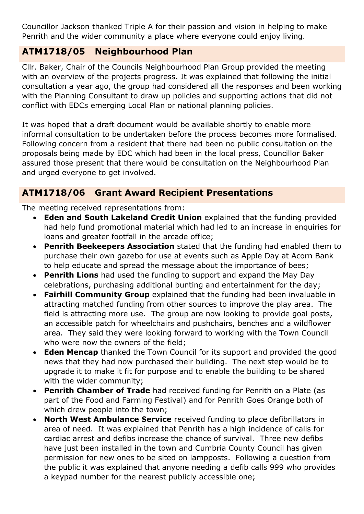Councillor Jackson thanked Triple A for their passion and vision in helping to make Penrith and the wider community a place where everyone could enjoy living.

# **ATM1718/05 Neighbourhood Plan**

Cllr. Baker, Chair of the Councils Neighbourhood Plan Group provided the meeting with an overview of the projects progress. It was explained that following the initial consultation a year ago, the group had considered all the responses and been working with the Planning Consultant to draw up policies and supporting actions that did not conflict with EDCs emerging Local Plan or national planning policies.

It was hoped that a draft document would be available shortly to enable more informal consultation to be undertaken before the process becomes more formalised. Following concern from a resident that there had been no public consultation on the proposals being made by EDC which had been in the local press, Councillor Baker assured those present that there would be consultation on the Neighbourhood Plan and urged everyone to get involved.

# **ATM1718/06 Grant Award Recipient Presentations**

The meeting received representations from:

- **Eden and South Lakeland Credit Union** explained that the funding provided had help fund promotional material which had led to an increase in enquiries for loans and greater footfall in the arcade office;
- **Penrith Beekeepers Association** stated that the funding had enabled them to purchase their own gazebo for use at events such as Apple Day at Acorn Bank to help educate and spread the message about the importance of bees;
- **Penrith Lions** had used the funding to support and expand the May Day celebrations, purchasing additional bunting and entertainment for the day;
- **Fairhill Community Group** explained that the funding had been invaluable in attracting matched funding from other sources to improve the play area. The field is attracting more use. The group are now looking to provide goal posts, an accessible patch for wheelchairs and pushchairs, benches and a wildflower area. They said they were looking forward to working with the Town Council who were now the owners of the field;
- **Eden Mencap** thanked the Town Council for its support and provided the good news that they had now purchased their building. The next step would be to upgrade it to make it fit for purpose and to enable the building to be shared with the wider community;
- **Penrith Chamber of Trade** had received funding for Penrith on a Plate (as part of the Food and Farming Festival) and for Penrith Goes Orange both of which drew people into the town;
- **North West Ambulance Service** received funding to place defibrillators in area of need. It was explained that Penrith has a high incidence of calls for cardiac arrest and defibs increase the chance of survival. Three new defibs have just been installed in the town and Cumbria County Council has given permission for new ones to be sited on lampposts. Following a question from the public it was explained that anyone needing a defib calls 999 who provides a keypad number for the nearest publicly accessible one;